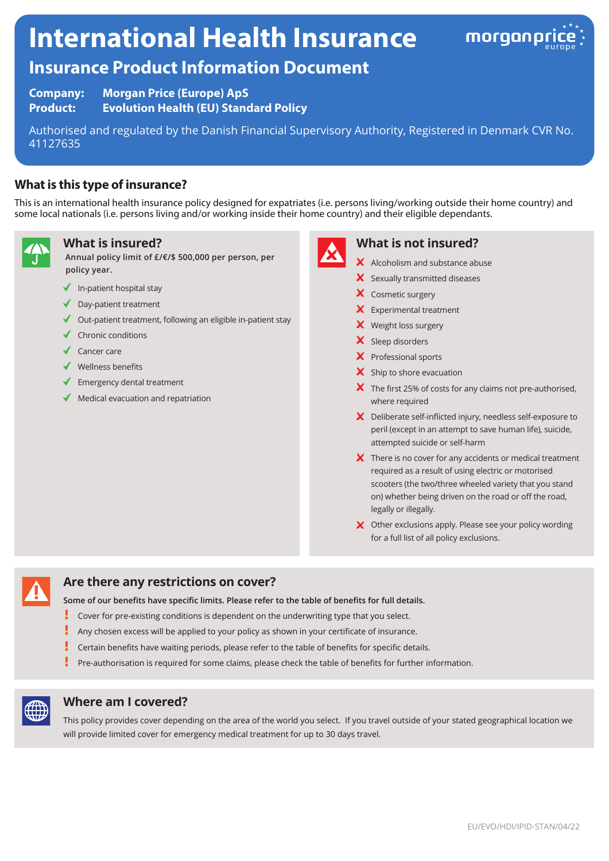# **International Health Insurance**



## **Insurance Product Information Document**

**Company: Morgan Price (Europe) ApS Product: Evolution Health (EU) Standard Policy**

Authorised and regulated by the Danish Financial Supervisory Authority, Registered in Denmark CVR No. 41127635

## **What is this type of insurance?**

This is an international health insurance policy designed for expatriates (i.e. persons living/working outside their home country) and some local nationals (i.e. persons living and/or working inside their home country) and their eligible dependants.



## **What is insured?**

**Annual policy limit of £/€/\$ 500,000 per person, per policy year.**

- $\blacklozenge$  In-patient hospital stay
- $\triangleleft$  Day-patient treatment
- $\triangleleft$  Out-patient treatment, following an eligible in-patient stay
- $\checkmark$  Chronic conditions
- $\checkmark$  Cancer care
- $\checkmark$  Wellness benefits
- $\blacklozenge$  Emergency dental treatment
- Medical evacuation and repatriation



## **What is not insured?**

- X Alcoholism and substance abuse
- $\boldsymbol{\times}$  Sexually transmitted diseases
- X Cosmetic surgery
- $\mathsf{\times}$  Experimental treatment
- X Weight loss surgery
- X Sleep disorders
- X Professional sports
- $\mathsf{\times}$  Ship to shore evacuation
- $\boldsymbol{\times}$  The first 25% of costs for any claims not pre-authorised, where required
- X Deliberate self-inflicted injury, needless self-exposure to peril (except in an attempt to save human life), suicide, attempted suicide or self-harm
- $\boldsymbol{\times}$  There is no cover for any accidents or medical treatment required as a result of using electric or motorised scooters (the two/three wheeled variety that you stand on) whether being driven on the road or off the road, legally or illegally.
- X Other exclusions apply. Please see your policy wording for a full list of all policy exclusions.



## **Are there any restrictions on cover?**

**Some of our benefits have specific limits. Please refer to the table of benefits for full details.**

- I Cover for pre-existing conditions is dependent on the underwriting type that you select.
- Ţ Any chosen excess will be applied to your policy as shown in your certificate of insurance.
- Certain benefits have waiting periods, please refer to the table of benefits for specific details.
- Į Pre-authorisation is required for some claims, please check the table of benefits for further information.



#### **Where am I covered?**

This policy provides cover depending on the area of the world you select. If you travel outside of your stated geographical location we will provide limited cover for emergency medical treatment for up to 30 days travel.